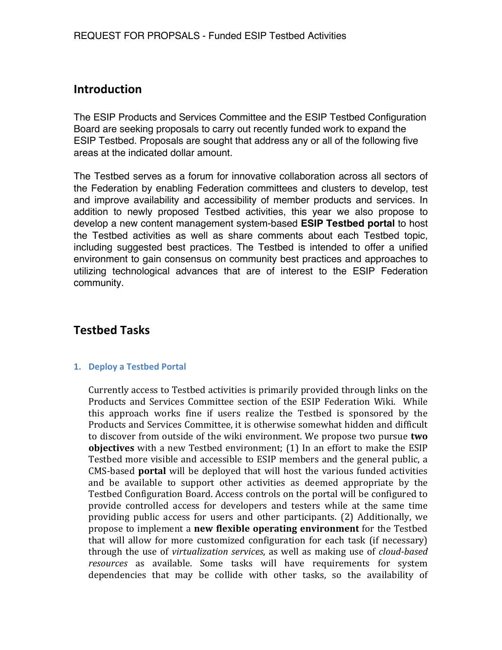# **Introduction**

The ESIP Products and Services Committee and the ESIP Testbed Configuration Board are seeking proposals to carry out recently funded work to expand the ESIP Testbed. Proposals are sought that address any or all of the following five areas at the indicated dollar amount.

The Testbed serves as a forum for innovative collaboration across all sectors of the Federation by enabling Federation committees and clusters to develop, test and improve availability and accessibility of member products and services. In addition to newly proposed Testbed activities, this year we also propose to develop a new content management system-based **ESIP Testbed portal** to host the Testbed activities as well as share comments about each Testbed topic, including suggested best practices. The Testbed is intended to offer a unified environment to gain consensus on community best practices and approaches to utilizing technological advances that are of interest to the ESIP Federation community.

# **Testbed\*Tasks**

#### **1. Deploy a Testbed Portal**

Currently access to Testbed activities is primarily provided through links on the Products and Services Committee section of the ESIP Federation Wiki. While this approach works fine if users realize the Testbed is sponsored by the Products and Services Committee, it is otherwise somewhat hidden and difficult to discover from outside of the wiki environment. We propose two pursue **two objectives** with a new Testbed environment; (1) In an effort to make the ESIP Testbed more visible and accessible to ESIP members and the general public, a CMS-based **portal** will be deployed that will host the various funded activities and be available to support other activities as deemed appropriate by the Testbed Configuration Board. Access controls on the portal will be configured to provide controlled access for developers and testers while at the same time providing public access for users and other participants. (2) Additionally, we propose to implement a **new flexible operating environment** for the Testbed that will allow for more customized configuration for each task (if necessary) through the use of *virtualization services*, as well as making use of *cloud-based* resources as available. Some tasks will have requirements for system dependencies that may be collide with other tasks, so the availability of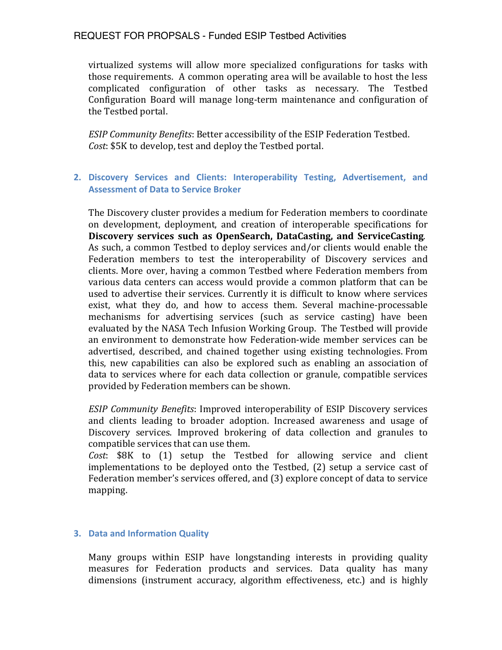### REQUEST FOR PROPSALS - Funded ESIP Testbed Activities

virtualized systems will allow more specialized configurations for tasks with those requirements. A common operating area will be available to host the less complicated configuration of other tasks as necessary. The Testbed Configuration Board will manage long-term maintenance and configuration of the Testbed portal.

*ESIP Community Benefits*: Better accessibility of the ESIP Federation Testbed. *Cost*: \$5K to develop, test and deploy the Testbed portal.

### 2. **Discovery Services and Clients: Interoperability Testing, Advertisement, and Assessment of Data to Service Broker**

The Discovery cluster provides a medium for Federation members to coordinate on development, deployment, and creation of interoperable specifications for **Discovery services such as OpenSearch, DataCasting, and ServiceCasting.** As such, a common Testbed to deploy services and/or clients would enable the Federation members to test the interoperability of Discovery services and clients. More over, having a common Testbed where Federation members from various data centers can access would provide a common platform that can be used to advertise their services. Currently it is difficult to know where services exist, what they do, and how to access them. Several machine-processable mechanisms for advertising services (such as service casting) have been evaluated by the NASA Tech Infusion Working Group. The Testbed will provide an environment to demonstrate how Federation-wide member services can be advertised, described, and chained together using existing technologies. From this, new capabilities can also be explored such as enabling an association of data to services where for each data collection or granule, compatible services provided by Federation members can be shown.

*ESIP Community Benefits*: Improved interoperability of ESIP Discovery services and clients leading to broader adoption. Increased awareness and usage of Discovery services. Improved brokering of data collection and granules to compatible services that can use them.

*Cost*: \$8K to (1) setup the Testbed for allowing service and client implementations to be deployed onto the Testbed, (2) setup a service cast of Federation member's services offered, and (3) explore concept of data to service mapping.

### **3. Data and Information Quality**

Many groups within ESIP have longstanding interests in providing quality measures for Federation products and services. Data quality has many dimensions (instrument accuracy, algorithm effectiveness, etc.) and is highly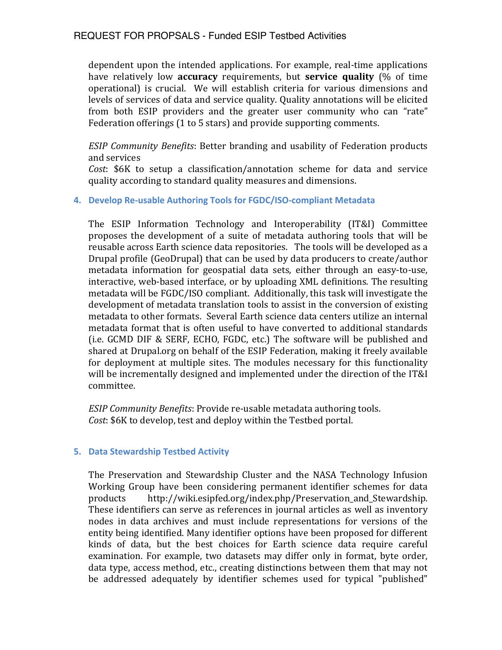## REQUEST FOR PROPSALS - Funded ESIP Testbed Activities

dependent upon the intended applications. For example, real-time applications have relatively low **accuracy** requirements, but **service quality** (% of time operational) is crucial. We will establish criteria for various dimensions and levels of services of data and service quality. Quality annotations will be elicited from both ESIP providers and the greater user community who can "rate" Federation offerings (1 to 5 stars) and provide supporting comments.

*ESIP Community Benefits: Better branding and usability of Federation products* and services

*Cost*: \$6K to setup a classification/annotation scheme for data and service quality according to standard quality measures and dimensions.

### **4. Develop Re-usable Authoring Tools for FGDC/ISO-compliant Metadata**

The ESIP Information Technology and Interoperability (IT&I) Committee proposes the development of a suite of metadata authoring tools that will be reusable across Earth science data repositories. The tools will be developed as a Drupal profile (GeoDrupal) that can be used by data producers to create/author metadata information for geospatial data sets, either through an easy-to-use, interactive, web-based interface, or by uploading XML definitions. The resulting metadata will be FGDC/ISO compliant. Additionally, this task will investigate the development of metadata translation tools to assist in the conversion of existing metadata to other formats. Several Earth science data centers utilize an internal metadata format that is often useful to have converted to additional standards (i.e. GCMD DIF & SERF, ECHO, FGDC, etc.) The software will be published and shared at Drupal.org on behalf of the ESIP Federation, making it freely available for deployment at multiple sites. The modules necessary for this functionality will be incrementally designed and implemented under the direction of the IT&I committee.

*ESIP Community Benefits*: Provide re-usable metadata authoring tools. *Cost*: \$6K to develop, test and deploy within the Testbed portal.

#### **5.** Data Stewardship Testbed Activity

The Preservation and Stewardship Cluster and the NASA Technology Infusion Working Group have been considering permanent identifier schemes for data products http://wiki.esipfed.org/index.php/Preservation\_and\_Stewardship.! These identifiers can serve as references in journal articles as well as inventory nodes in data archives and must include representations for versions of the entity being identified. Many identifier options have been proposed for different kinds of data, but the best choices for Earth science data require careful examination. For example, two datasets may differ only in format, byte order, data type, access method, etc., creating distinctions between them that may not be addressed adequately by identifier schemes used for typical "published"